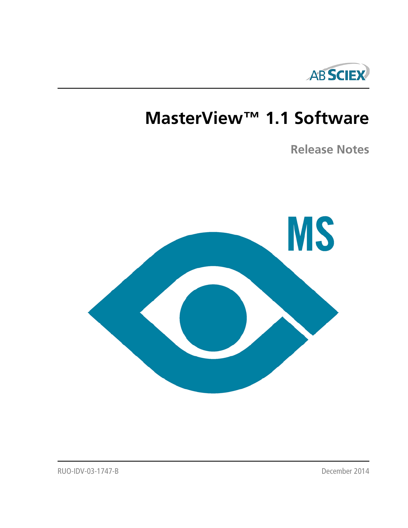

# **MasterView™ 1.1 Software**

**Release Notes**

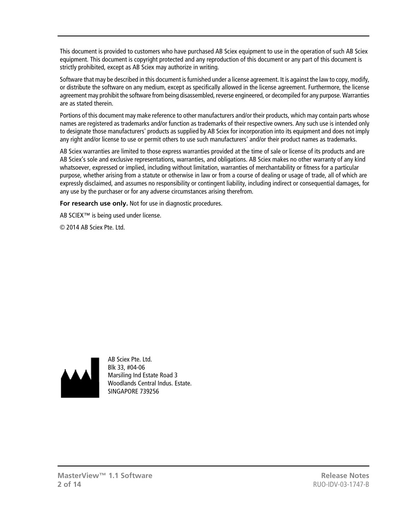This document is provided to customers who have purchased AB Sciex equipment to use in the operation of such AB Sciex equipment. This document is copyright protected and any reproduction of this document or any part of this document is strictly prohibited, except as AB Sciex may authorize in writing.

Software that may be described in this document is furnished under a license agreement. It is against the law to copy, modify, or distribute the software on any medium, except as specifically allowed in the license agreement. Furthermore, the license agreement may prohibit the software from being disassembled, reverse engineered, or decompiled for any purpose. Warranties are as stated therein.

Portions of this document may make reference to other manufacturers and/or their products, which may contain parts whose names are registered as trademarks and/or function as trademarks of their respective owners. Any such use is intended only to designate those manufacturers' products as supplied by AB Sciex for incorporation into its equipment and does not imply any right and/or license to use or permit others to use such manufacturers' and/or their product names as trademarks.

AB Sciex warranties are limited to those express warranties provided at the time of sale or license of its products and are AB Sciex's sole and exclusive representations, warranties, and obligations. AB Sciex makes no other warranty of any kind whatsoever, expressed or implied, including without limitation, warranties of merchantability or fitness for a particular purpose, whether arising from a statute or otherwise in law or from a course of dealing or usage of trade, all of which are expressly disclaimed, and assumes no responsibility or contingent liability, including indirect or consequential damages, for any use by the purchaser or for any adverse circumstances arising therefrom.

**For research use only.** Not for use in diagnostic procedures.

AB SCIEX™ is being used under license.

© 2014 AB Sciex Pte. Ltd.



AB Sciex Pte. Ltd. Blk 33, #04-06 Marsiling Ind Estate Road 3 Woodlands Central Indus. Estate. SINGAPORE 739256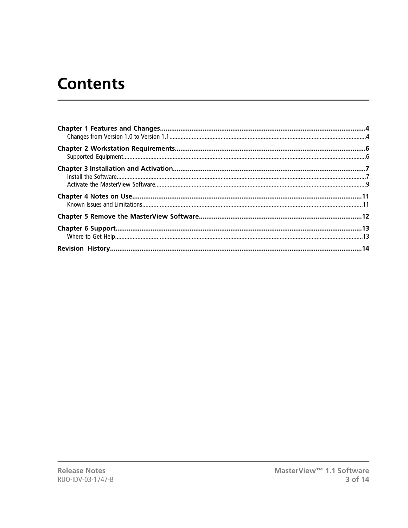## **Contents**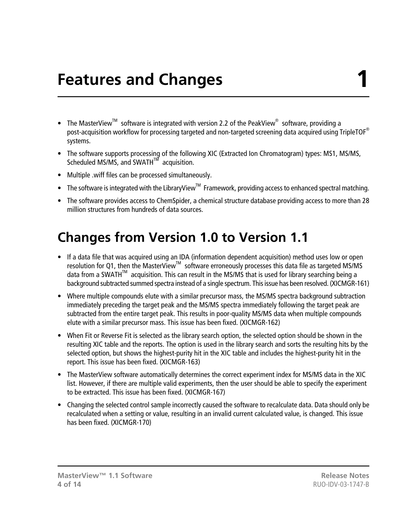## **Features and Changes**

- <span id="page-3-0"></span>• The MasterView<sup>™</sup> software is integrated with version 2.2 of the PeakView<sup>®</sup> software, providing a post-acquisition workflow for processing targeted and non-targeted screening data acquired using TripleTOF<sup>®</sup> systems.
- The software supports processing of the following XIC (Extracted Ion Chromatogram) types: MS1, MS/MS, Scheduled MS/MS, and SWATH $^{TM}$  acquisition.
- Multiple .wiff files can be processed simultaneously.
- The software is integrated with the LibraryView<sup>TM</sup> Framework, providing access to enhanced spectral matching.
- <span id="page-3-1"></span>• The software provides access to ChemSpider, a chemical structure database providing access to more than 28 million structures from hundreds of data sources.

### **Changes from Version 1.0 to Version 1.1**

- If a data file that was acquired using an IDA (information dependent acquisition) method uses low or open resolution for Q1, then the MasterView™ software erroneously processes this data file as targeted MS/MS data from a SWATH<sup>™</sup> acquisition. This can result in the MS/MS that is used for library searching being a background subtracted summed spectra instead of a single spectrum. This issue has been resolved. (XICMGR-161)
- Where multiple compounds elute with a similar precursor mass, the MS/MS spectra background subtraction immediately preceding the target peak and the MS/MS spectra immediately following the target peak are subtracted from the entire target peak. This results in poor-quality MS/MS data when multiple compounds elute with a similar precursor mass. This issue has been fixed. (XICMGR-162)
- When Fit or Reverse Fit is selected as the library search option, the selected option should be shown in the resulting XIC table and the reports. The option is used in the library search and sorts the resulting hits by the selected option, but shows the highest-purity hit in the XIC table and includes the highest-purity hit in the report. This issue has been fixed. (XICMGR-163)
- The MasterView software automatically determines the correct experiment index for MS/MS data in the XIC list. However, if there are multiple valid experiments, then the user should be able to specify the experiment to be extracted. This issue has been fixed. (XICMGR-167)
- Changing the selected control sample incorrectly caused the software to recalculate data. Data should only be recalculated when a setting or value, resulting in an invalid current calculated value, is changed. This issue has been fixed. (XICMGR-170)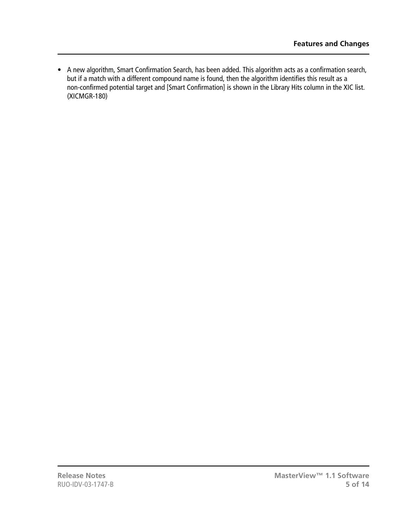• A new algorithm, Smart Confirmation Search, has been added. This algorithm acts as a confirmation search, but if a match with a different compound name is found, then the algorithm identifies this result as a non-confirmed potential target and [Smart Confirmation] is shown in the Library Hits column in the XIC list. (XICMGR-180)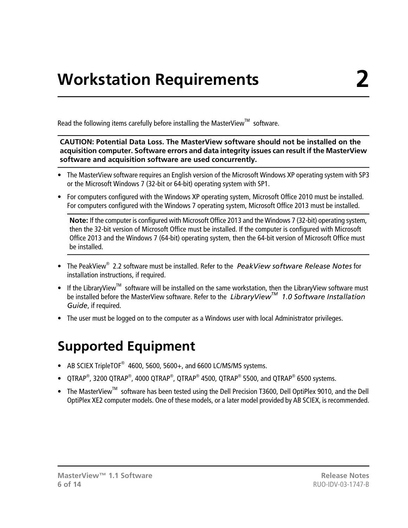<span id="page-5-0"></span>Read the following items carefully before installing the MasterView<sup>TM</sup> software.

**CAUTION: Potential Data Loss. The MasterView software should not be installed on the acquisition computer. Software errors and data integrity issues can result if the MasterView software and acquisition software are used concurrently.**

- The MasterView software requires an English version of the Microsoft Windows XP operating system with SP3 or the Microsoft Windows 7 (32-bit or 64-bit) operating system with SP1.
- For computers configured with the Windows XP operating system, Microsoft Office 2010 must be installed. For computers configured with the Windows 7 operating system, Microsoft Office 2013 must be installed.

**Note:** If the computer is configured with Microsoft Office 2013 and the Windows 7 (32-bit) operating system, then the 32-bit version of Microsoft Office must be installed. If the computer is configured with Microsoft Office 2013 and the Windows 7 (64-bit) operating system, then the 64-bit version of Microsoft Office must be installed.

- The PeakView® 2.2 software must be installed. Refer to the *PeakView software Release Notes* for installation instructions, if required.
- If the LibraryView<sup>™</sup> software will be installed on the same workstation, then the LibraryView software must be installed before the MasterView software. Refer to the *LibraryViewTM 1.0 Software Installation Guide*, if required.
- <span id="page-5-1"></span>• The user must be logged on to the computer as a Windows user with local Administrator privileges.

### **Supported Equipment**

- AB SCIEX TripleTOF<sup>®</sup> 4600, 5600, 5600+, and 6600 LC/MS/MS systems.
- QTRAP®, 3200 QTRAP®, 4000 QTRAP®, QTRAP® 4500, QTRAP® 5500, and QTRAP® 6500 systems.
- The MasterView<sup>™</sup> software has been tested using the Dell Precision T3600, Dell OptiPlex 9010, and the Dell OptiPlex XE2 computer models. One of these models, or a later model provided by AB SCIEX, is recommended.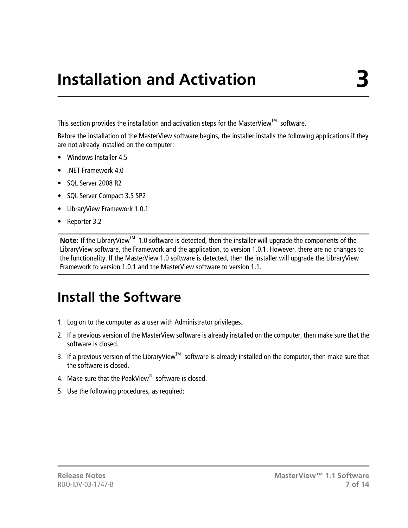## **Installation and Activation 3**

<span id="page-6-0"></span>This section provides the installation and activation steps for the MasterView<sup>TM</sup> software.

Before the installation of the MasterView software begins, the installer installs the following applications if they are not already installed on the computer:

- Windows Installer 4.5
- .NET Framework 4.0
- SQL Server 2008 R2
- SQL Server Compact 3.5 SP2
- LibraryView Framework 1.0.1
- Reporter 3.2

<span id="page-6-1"></span>**Note:** If the LibraryView<sup>™</sup> 1.0 software is detected, then the installer will upgrade the components of the LibraryView software, the Framework and the application, to version 1.0.1. However, there are no changes to the functionality. If the MasterView 1.0 software is detected, then the installer will upgrade the LibraryView Framework to version 1.0.1 and the MasterView software to version 1.1.

#### **Install the Software**

- 1. Log on to the computer as a user with Administrator privileges.
- 2. If a previous version of the MasterView software is already installed on the computer, then make sure that the software is closed.
- 3. If a previous version of the LibraryView<sup>™</sup> software is already installed on the computer, then make sure that the software is closed.
- 4. Make sure that the PeakView $^{\circledast}$  software is closed.
- 5. Use the following procedures, as required: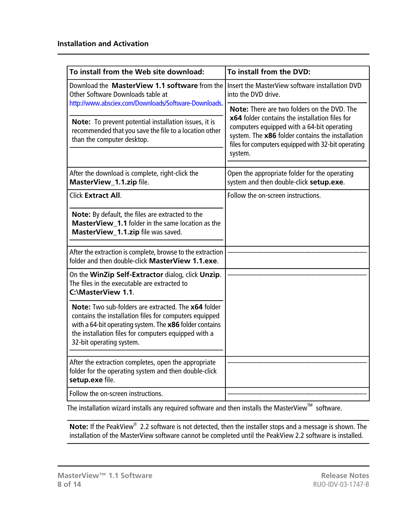| To install from the Web site download:                                                                                                                                                                                                                                       | To install from the DVD:                                                                                                                                                                                                                              |  |
|------------------------------------------------------------------------------------------------------------------------------------------------------------------------------------------------------------------------------------------------------------------------------|-------------------------------------------------------------------------------------------------------------------------------------------------------------------------------------------------------------------------------------------------------|--|
| Download the MasterView 1.1 software from the<br>Other Software Downloads table at                                                                                                                                                                                           | Insert the MasterView software installation DVD<br>into the DVD drive.                                                                                                                                                                                |  |
| http://www.absciex.com/Downloads/Software-Downloads.                                                                                                                                                                                                                         | Note: There are two folders on the DVD. The<br>x64 folder contains the installation files for<br>computers equipped with a 64-bit operating<br>system. The x86 folder contains the installation<br>files for computers equipped with 32-bit operating |  |
| Note: To prevent potential installation issues, it is<br>recommended that you save the file to a location other<br>than the computer desktop.                                                                                                                                |                                                                                                                                                                                                                                                       |  |
|                                                                                                                                                                                                                                                                              | system.                                                                                                                                                                                                                                               |  |
| After the download is complete, right-click the<br>MasterView_1.1.zip file.                                                                                                                                                                                                  | Open the appropriate folder for the operating<br>system and then double-click setup.exe.                                                                                                                                                              |  |
| Click Extract All.                                                                                                                                                                                                                                                           | Follow the on-screen instructions.                                                                                                                                                                                                                    |  |
| Note: By default, the files are extracted to the<br>MasterView_1.1 folder in the same location as the<br>MasterView_1.1.zip file was saved.                                                                                                                                  |                                                                                                                                                                                                                                                       |  |
| After the extraction is complete, browse to the extraction<br>folder and then double-click MasterView 1.1.exe.                                                                                                                                                               |                                                                                                                                                                                                                                                       |  |
| On the WinZip Self-Extractor dialog, click Unzip.<br>The files in the executable are extracted to<br>C:\MasterView 1.1.                                                                                                                                                      |                                                                                                                                                                                                                                                       |  |
| <b>Note:</b> Two sub-folders are extracted. The <b>x64</b> folder<br>contains the installation files for computers equipped<br>with a 64-bit operating system. The $x86$ folder contains<br>the installation files for computers equipped with a<br>32-bit operating system. |                                                                                                                                                                                                                                                       |  |
| After the extraction completes, open the appropriate<br>folder for the operating system and then double-click<br>setup.exe file.                                                                                                                                             |                                                                                                                                                                                                                                                       |  |
| Follow the on-screen instructions.                                                                                                                                                                                                                                           |                                                                                                                                                                                                                                                       |  |

The installation wizard installs any required software and then installs the MasterView<sup>TM</sup> software.

**Note:** If the PeakView® 2.2 software is not detected, then the installer stops and a message is shown. The installation of the MasterView software cannot be completed until the PeakView 2.2 software is installed.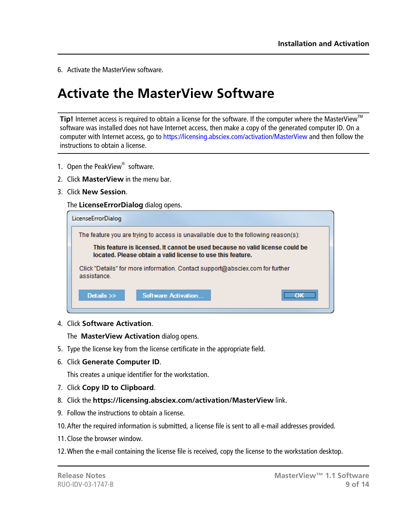6. Activate the MasterView software.

#### <span id="page-8-0"></span>**Activate the MasterView Software**

Tip! Internet access is required to obtain a license for the software. If the computer where the MasterView<sup>™</sup> software was installed does not have Internet access, then make a copy of the generated computer ID. On a computer with Internet access, go to<https://licensing.absciex.com/activation/MasterView> and then follow the instructions to obtain a license.

- 1. Open the PeakView<sup>®</sup> software.
- 2. Click **MasterView** in the menu bar.
- 3. Click **New Session**.

The **LicenseErrorDialog** dialog opens.

| LicenseErrorDialog |                                                                                                                                              |  |  |  |
|--------------------|----------------------------------------------------------------------------------------------------------------------------------------------|--|--|--|
|                    | The feature you are trying to access is unavailable due to the following reason(s):                                                          |  |  |  |
|                    | This feature is licensed. It cannot be used because no valid license could be<br>located. Please obtain a valid license to use this feature. |  |  |  |
|                    | Click "Details" for more information. Contact support@absciex.com for further<br>assistance.                                                 |  |  |  |
|                    | Details $\gg$<br>Software Activation                                                                                                         |  |  |  |

4. Click **Software Activation**.

The **MasterView Activation** dialog opens.

- 5. Type the license key from the license certificate in the appropriate field.
- 6. Click **Generate Computer ID**.

This creates a unique identifier for the workstation.

- 7. Click **Copy ID to Clipboard**.
- 8. Click the **https://licensing.absciex.com/activation/MasterView** link.
- 9. Follow the instructions to obtain a license.
- 10.After the required information is submitted, a license file is sent to all e-mail addresses provided.
- 11.Close the browser window.

12.When the e-mail containing the license file is received, copy the license to the workstation desktop.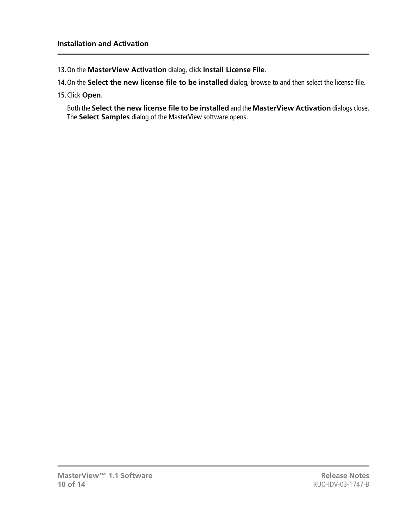- 13.On the **MasterView Activation** dialog, click **Install License File**.
- 14.On the **Select the new license file to be installed** dialog, browse to and then select the license file.
- 15.Click **Open**.

Both the **Select the new license file to be installed** and the **MasterView Activation** dialogs close. The **Select Samples** dialog of the MasterView software opens.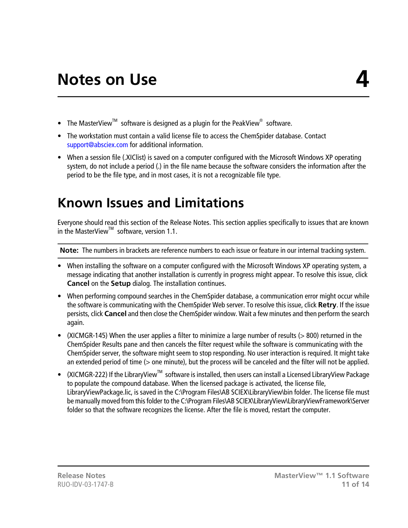- <span id="page-10-0"></span>• The MasterView<sup>™</sup> software is designed as a plugin for the PeakView<sup>®</sup> software.
- The workstation must contain a valid license file to access the ChemSpider database. Contact [support@absciex.com](mailto:support@absciex.com) for additional information.
- When a session file (.XIClist) is saved on a computer configured with the Microsoft Windows XP operating system, do not include a period (.) in the file name because the software considers the information after the period to be the file type, and in most cases, it is not a recognizable file type.

### <span id="page-10-1"></span>**Known Issues and Limitations**

Everyone should read this section of the Release Notes. This section applies specifically to issues that are known in the MasterView<sup>™</sup> software, version 1.1.

**Note:** The numbers in brackets are reference numbers to each issue or feature in our internal tracking system.

- When installing the software on a computer configured with the Microsoft Windows XP operating system, a message indicating that another installation is currently in progress might appear. To resolve this issue, click **Cancel** on the **Setup** dialog. The installation continues.
- When performing compound searches in the ChemSpider database, a communication error might occur while the software is communicating with the ChemSpider Web server. To resolve this issue, click **Retry**. If the issue persists, click **Cancel** and then close the ChemSpider window. Wait a few minutes and then perform the search again.
- (XICMGR-145) When the user applies a filter to minimize a large number of results ( $> 800$ ) returned in the ChemSpider Results pane and then cancels the filter request while the software is communicating with the ChemSpider server, the software might seem to stop responding. No user interaction is required. It might take an extended period of time (> one minute), but the process will be canceled and the filter will not be applied.
- (XICMGR-222) If the LibraryView<sup>TM</sup> software is installed, then users can install a Licensed LibraryView Package to populate the compound database. When the licensed package is activated, the license file, LibraryViewPackage.lic, is saved in the C:\Program Files\AB SCIEX\LibraryView\bin folder. The license file must be manually moved from this folder to the C:\Program Files\AB SCIEX\LibraryView\LibraryViewFramework\Server folder so that the software recognizes the license. After the file is moved, restart the computer.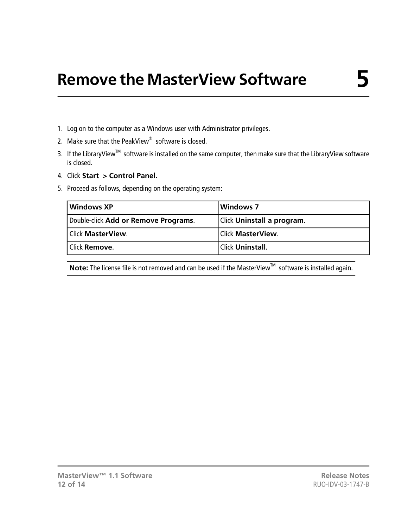## **Remove the MasterView Software 5**

- <span id="page-11-0"></span>1. Log on to the computer as a Windows user with Administrator privileges.
- 2. Make sure that the PeakView $^{\circledast}$  software is closed.
- 3. If the LibraryView<sup>™</sup> software is installed on the same computer, then make sure that the LibraryView software is closed.
- 4. Click **Start > Control Panel.**
- 5. Proceed as follows, depending on the operating system:

| <b>Windows XP</b>                    | <b>Windows 7</b>           |
|--------------------------------------|----------------------------|
| Double-click Add or Remove Programs. | Click Uninstall a program. |
| <b>Click MasterView.</b>             | Click <b>MasterView</b> .  |
| i Click <b>Remove</b> .              | <b>Click Uninstall.</b>    |

**Note:** The license file is not removed and can be used if the MasterView™ software is installed again.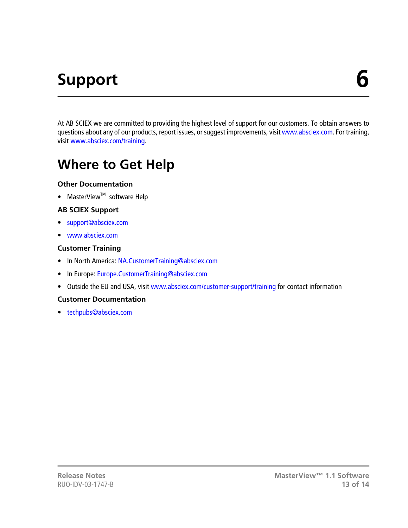# **Support 6**

<span id="page-12-0"></span>At AB SCIEX we are committed to providing the highest level of support for our customers. To obtain answers to questions about any of our products, report issues, or suggest improvements, visit [www.absciex.com](http://www.absciex.com). For training, visit [www.absciex.com/training](http://www.absciex.com/training).

#### <span id="page-12-1"></span>**Where to Get Help**

#### **Other Documentation**

• MasterView $^{TM}$  software Help

#### **AB SCIEX Support**

- [support@absciex.com](mailto:support@absciex.com)
- [www.absciex.com](http://www.absciex.com)

#### **Customer Training**

- In North America: [NA.CustomerTraining@absciex.com](mailto:NA.CustomerTraining@absciex.com)
- In Europe: [Europe.CustomerTraining@absciex.com](mailto:Europe.CustomerTraining@absciex.com)
- Outside the EU and USA, visit [www.absciex.com/customer-support/training](http://www.absciex.com/customer-support/training) for contact information

#### **Customer Documentation**

• [techpubs@absciex.com](mailto:techpubs@absciex.com)